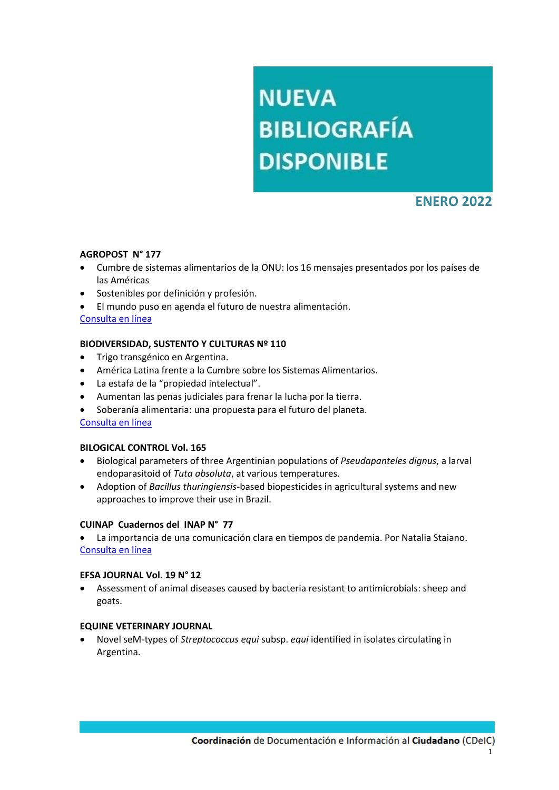# **NUEVA BIBLIOGRAFÍA DISPONIBLE**

# **ENERO 2022**

# **AGROPOST N° 177**

- Cumbre de sistemas alimentarios de la ONU: los 16 mensajes presentados por los países de las Américas
- Sostenibles por definición y profesión.
- El mundo puso en agenda el futuro de nuestra alimentación.

[Consulta en línea](http://www.cpia.org.ar/agropost/tapa/21)

# **BIODIVERSIDAD, SUSTENTO Y CULTURAS Nº 110**

- Trigo transgénico en Argentina.
- América Latina frente a la Cumbre sobre los Sistemas Alimentarios.
- La estafa de la "propiedad intelectual".
- Aumentan las penas judiciales para frenar la lucha por la tierra.
- Soberanía alimentaria: una propuesta para el futuro del planeta.

# [Consulta en línea](https://www.biodiversidadla.org/Revista/110)

# **BILOGICAL CONTROL Vol. 165**

- Biological parameters of three Argentinian populations of *Pseudapanteles dignus*, a larval endoparasitoid of *Tuta absoluta*, at various temperatures.
- Adoption of *Bacillus thuringiensis*-based biopesticides in agricultural systems and new approaches to improve their use in Brazil.

# **CUINAP Cuadernos del INAP N° 77**

 La importancia de una comunicación clara en tiempos de pandemia. Por Natalia Staiano. [Consulta en línea](https://publicaciones.inap.gob.ar/index.php/CUINAP/issue/view/124)

# **EFSA JOURNAL Vol. 19 N° 12**

 Assessment of animal diseases caused by bacteria resistant to antimicrobials: sheep and goats.

# **EQUINE VETERINARY JOURNAL**

 Novel seM-types of *Streptococcus equi* subsp. *equi* identified in isolates circulating in Argentina.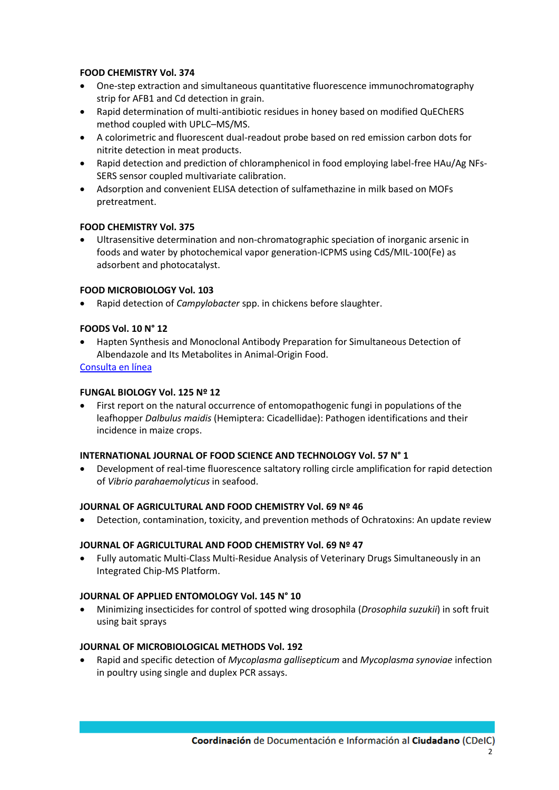# **FOOD CHEMISTRY Vol. 374**

- One-step extraction and simultaneous quantitative fluorescence immunochromatography strip for AFB1 and Cd detection in grain.
- Rapid determination of multi-antibiotic residues in honey based on modified QuEChERS method coupled with UPLC–MS/MS.
- A colorimetric and fluorescent dual-readout probe based on red emission carbon dots for nitrite detection in meat products.
- Rapid detection and prediction of chloramphenicol in food employing label-free HAu/Ag NFs-SERS sensor coupled multivariate calibration.
- Adsorption and convenient ELISA detection of sulfamethazine in milk based on MOFs pretreatment.

# **FOOD CHEMISTRY Vol. 375**

 Ultrasensitive determination and non-chromatographic speciation of inorganic arsenic in foods and water by photochemical vapor generation-ICPMS using CdS/MIL-100(Fe) as adsorbent and photocatalyst.

# **FOOD MICROBIOLOGY Vol. 103**

Rapid detection of *Campylobacter* spp. in chickens before slaughter.

# **FOODS Vol. 10 N° 12**

 Hapten Synthesis and Monoclonal Antibody Preparation for Simultaneous Detection of Albendazole and Its Metabolites in Animal-Origin Food.

# [Consulta en línea](https://www.mdpi.com/2304-8158/10/12/3106)

# **FUNGAL BIOLOGY Vol. 125 Nº 12**

 First report on the natural occurrence of entomopathogenic fungi in populations of the leafhopper *Dalbulus maidis* (Hemiptera: Cicadellidae): Pathogen identifications and their incidence in maize crops.

# **INTERNATIONAL JOURNAL OF FOOD SCIENCE AND TECHNOLOGY Vol. 57 N° 1**

 Development of real-time fluorescence saltatory rolling circle amplification for rapid detection of *Vibrio parahaemolyticus* in seafood.

# **JOURNAL OF AGRICULTURAL AND FOOD CHEMISTRY Vol. 69 Nº 46**

Detection, contamination, toxicity, and prevention methods of Ochratoxins: An update review

# **JOURNAL OF AGRICULTURAL AND FOOD CHEMISTRY Vol. 69 Nº 47**

 Fully automatic Multi-Class Multi-Residue Analysis of Veterinary Drugs Simultaneously in an Integrated Chip-MS Platform.

# **JOURNAL OF APPLIED ENTOMOLOGY Vol. 145 N° 10**

 Minimizing insecticides for control of spotted wing drosophila (*Drosophila suzukii*) in soft fruit using bait sprays

# **JOURNAL OF MICROBIOLOGICAL METHODS Vol. 192**

 Rapid and specific detection of *Mycoplasma gallisepticum* and *Mycoplasma synoviae* infection in poultry using single and duplex PCR assays.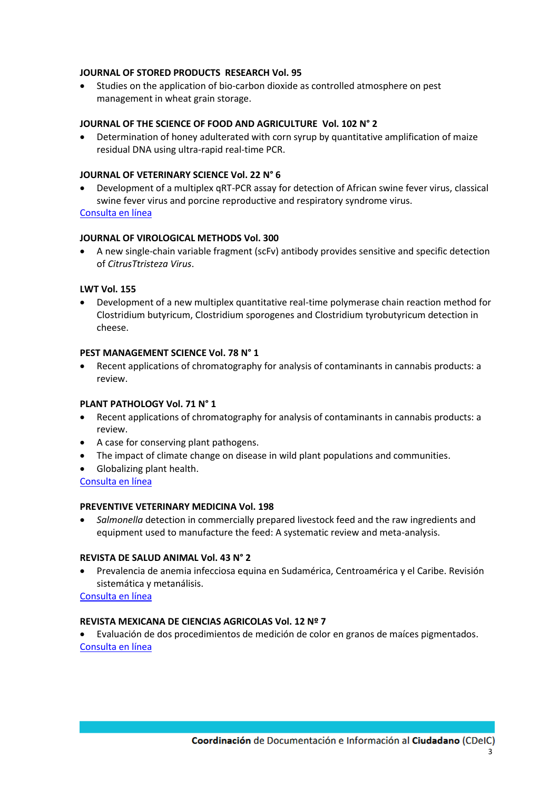# **JOURNAL OF STORED PRODUCTS RESEARCH Vol. 95**

 Studies on the application of bio-carbon dioxide as controlled atmosphere on pest management in wheat grain storage.

# **JOURNAL OF THE SCIENCE OF FOOD AND AGRICULTURE Vol. 102 N° 2**

 Determination of honey adulterated with corn syrup by quantitative amplification of maize residual DNA using ultra-rapid real-time PCR.

# **JOURNAL OF VETERINARY SCIENCE Vol. 22 N° 6**

 Development of a multiplex qRT-PCR assay for detection of African swine fever virus, classical swine fever virus and porcine reproductive and respiratory syndrome virus.

[Consulta en línea](https://www.vetsci.org/search.php?where=aview&id=10.4142/jvs.2021.22.e87&code=0118JVS&vmode=FULL)

# **JOURNAL OF VIROLOGICAL METHODS Vol. 300**

 A new single-chain variable fragment (scFv) antibody provides sensitive and specific detection of *CitrusTtristeza Virus*.

# **LWT Vol. 155**

 Development of a new multiplex quantitative real-time polymerase chain reaction method for Clostridium butyricum, Clostridium sporogenes and Clostridium tyrobutyricum detection in cheese.

#### **PEST MANAGEMENT SCIENCE Vol. 78 N° 1**

 Recent applications of chromatography for analysis of contaminants in cannabis products: a review.

# **PLANT PATHOLOGY Vol. 71 N° 1**

- Recent applications of chromatography for analysis of contaminants in cannabis products: a review.
- A case for conserving plant pathogens.
- The impact of climate change on disease in wild plant populations and communities.
- Globalizing plant health. [Consulta en línea](https://bsppjournals.onlinelibrary.wiley.com/toc/13653059/2022/71/1)

# **PREVENTIVE VETERINARY MEDICINA Vol. 198**

 *Salmonella* detection in commercially prepared livestock feed and the raw ingredients and equipment used to manufacture the feed: A systematic review and meta-analysis.

# **REVISTA DE SALUD ANIMAL Vol. 43 N° 2**

 Prevalencia de anemia infecciosa equina en Sudamérica, Centroamérica y el Caribe. Revisión sistemática y metanálisis.

[Consulta en línea](http://scielo.sld.cu/scielo.php?script=sci_issuetoc&pid=0253-570X20210002&lng=es&nrm=iso)

# **REVISTA MEXICANA DE CIENCIAS AGRICOLAS Vol. 12 Nº 7**

 Evaluación de dos procedimientos de medición de color en granos de maíces pigmentados. [Consulta en línea](http://cienciasagricolas.inifap.gob.mx/index.php/agricolas/article/view/2276/4531)